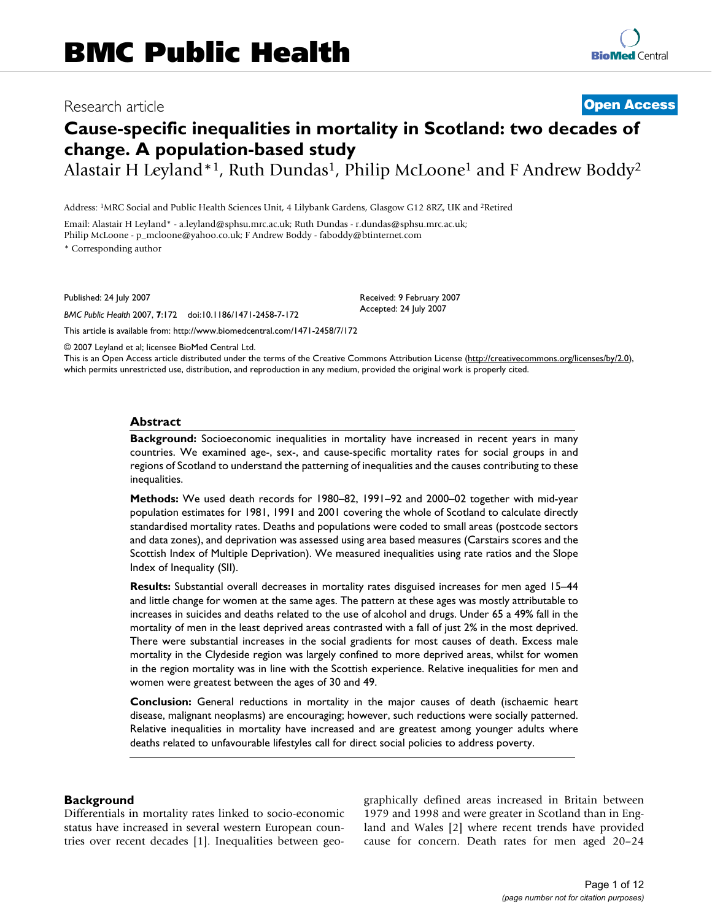# Research article **[Open Access](http://www.biomedcentral.com/info/about/charter/)**

# **Cause-specific inequalities in mortality in Scotland: two decades of change. A population-based study**

Alastair H Leyland\*1, Ruth Dundas<sup>1</sup>, Philip McLoone<sup>1</sup> and F Andrew Boddy<sup>2</sup>

Address: 1MRC Social and Public Health Sciences Unit, 4 Lilybank Gardens, Glasgow G12 8RZ, UK and 2Retired

Email: Alastair H Leyland\* - a.leyland@sphsu.mrc.ac.uk; Ruth Dundas - r.dundas@sphsu.mrc.ac.uk; Philip McLoone - p\_mcloone@yahoo.co.uk; F Andrew Boddy - faboddy@btinternet.com \* Corresponding author

Published: 24 July 2007

*BMC Public Health* 2007, **7**:172 doi:10.1186/1471-2458-7-172

[This article is available from: http://www.biomedcentral.com/1471-2458/7/172](http://www.biomedcentral.com/1471-2458/7/172)

© 2007 Leyland et al; licensee BioMed Central Ltd.

This is an Open Access article distributed under the terms of the Creative Commons Attribution License [\(http://creativecommons.org/licenses/by/2.0\)](http://creativecommons.org/licenses/by/2.0), which permits unrestricted use, distribution, and reproduction in any medium, provided the original work is properly cited.

Received: 9 February 2007 Accepted: 24 July 2007

#### **Abstract**

**Background:** Socioeconomic inequalities in mortality have increased in recent years in many countries. We examined age-, sex-, and cause-specific mortality rates for social groups in and regions of Scotland to understand the patterning of inequalities and the causes contributing to these inequalities.

**Methods:** We used death records for 1980–82, 1991–92 and 2000–02 together with mid-year population estimates for 1981, 1991 and 2001 covering the whole of Scotland to calculate directly standardised mortality rates. Deaths and populations were coded to small areas (postcode sectors and data zones), and deprivation was assessed using area based measures (Carstairs scores and the Scottish Index of Multiple Deprivation). We measured inequalities using rate ratios and the Slope Index of Inequality (SII).

**Results:** Substantial overall decreases in mortality rates disguised increases for men aged 15–44 and little change for women at the same ages. The pattern at these ages was mostly attributable to increases in suicides and deaths related to the use of alcohol and drugs. Under 65 a 49% fall in the mortality of men in the least deprived areas contrasted with a fall of just 2% in the most deprived. There were substantial increases in the social gradients for most causes of death. Excess male mortality in the Clydeside region was largely confined to more deprived areas, whilst for women in the region mortality was in line with the Scottish experience. Relative inequalities for men and women were greatest between the ages of 30 and 49.

**Conclusion:** General reductions in mortality in the major causes of death (ischaemic heart disease, malignant neoplasms) are encouraging; however, such reductions were socially patterned. Relative inequalities in mortality have increased and are greatest among younger adults where deaths related to unfavourable lifestyles call for direct social policies to address poverty.

#### **Background**

Differentials in mortality rates linked to socio-economic status have increased in several western European countries over recent decades [1]. Inequalities between geographically defined areas increased in Britain between 1979 and 1998 and were greater in Scotland than in England and Wales [2] where recent trends have provided cause for concern. Death rates for men aged 20–24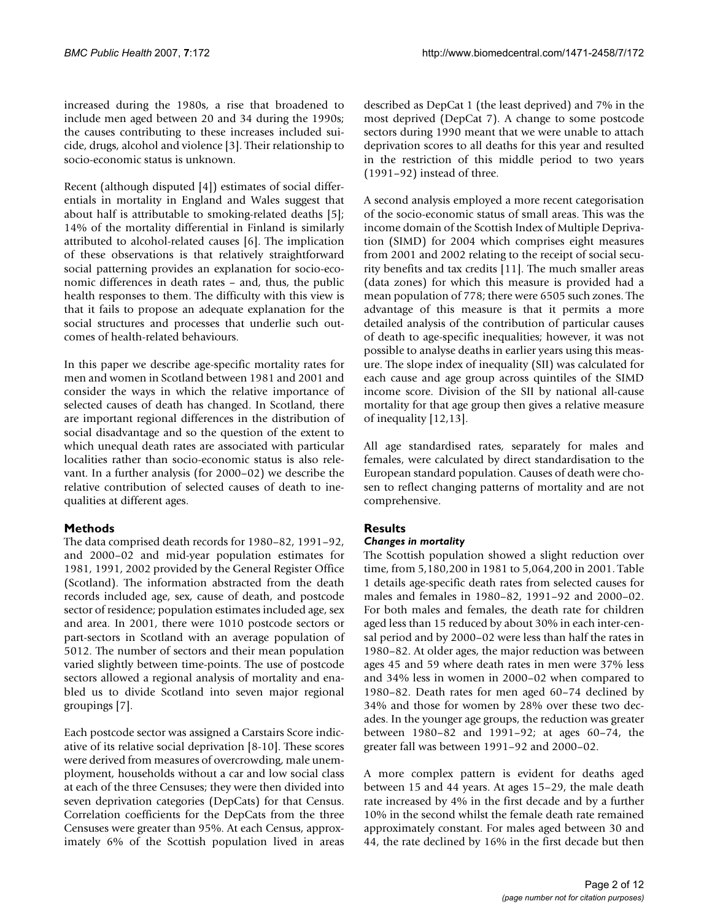increased during the 1980s, a rise that broadened to include men aged between 20 and 34 during the 1990s; the causes contributing to these increases included suicide, drugs, alcohol and violence [3]. Their relationship to socio-economic status is unknown.

Recent (although disputed [4]) estimates of social differentials in mortality in England and Wales suggest that about half is attributable to smoking-related deaths [5]; 14% of the mortality differential in Finland is similarly attributed to alcohol-related causes [6]. The implication of these observations is that relatively straightforward social patterning provides an explanation for socio-economic differences in death rates – and, thus, the public health responses to them. The difficulty with this view is that it fails to propose an adequate explanation for the social structures and processes that underlie such outcomes of health-related behaviours.

In this paper we describe age-specific mortality rates for men and women in Scotland between 1981 and 2001 and consider the ways in which the relative importance of selected causes of death has changed. In Scotland, there are important regional differences in the distribution of social disadvantage and so the question of the extent to which unequal death rates are associated with particular localities rather than socio-economic status is also relevant. In a further analysis (for 2000–02) we describe the relative contribution of selected causes of death to inequalities at different ages.

# **Methods**

The data comprised death records for 1980–82, 1991–92, and 2000–02 and mid-year population estimates for 1981, 1991, 2002 provided by the General Register Office (Scotland). The information abstracted from the death records included age, sex, cause of death, and postcode sector of residence; population estimates included age, sex and area. In 2001, there were 1010 postcode sectors or part-sectors in Scotland with an average population of 5012. The number of sectors and their mean population varied slightly between time-points. The use of postcode sectors allowed a regional analysis of mortality and enabled us to divide Scotland into seven major regional groupings [7].

Each postcode sector was assigned a Carstairs Score indicative of its relative social deprivation [8-10]. These scores were derived from measures of overcrowding, male unemployment, households without a car and low social class at each of the three Censuses; they were then divided into seven deprivation categories (DepCats) for that Census. Correlation coefficients for the DepCats from the three Censuses were greater than 95%. At each Census, approximately 6% of the Scottish population lived in areas described as DepCat 1 (the least deprived) and 7% in the most deprived (DepCat 7). A change to some postcode sectors during 1990 meant that we were unable to attach deprivation scores to all deaths for this year and resulted in the restriction of this middle period to two years (1991–92) instead of three.

A second analysis employed a more recent categorisation of the socio-economic status of small areas. This was the income domain of the Scottish Index of Multiple Deprivation (SIMD) for 2004 which comprises eight measures from 2001 and 2002 relating to the receipt of social security benefits and tax credits [11]. The much smaller areas (data zones) for which this measure is provided had a mean population of 778; there were 6505 such zones. The advantage of this measure is that it permits a more detailed analysis of the contribution of particular causes of death to age-specific inequalities; however, it was not possible to analyse deaths in earlier years using this measure. The slope index of inequality (SII) was calculated for each cause and age group across quintiles of the SIMD income score. Division of the SII by national all-cause mortality for that age group then gives a relative measure of inequality [12,13].

All age standardised rates, separately for males and females, were calculated by direct standardisation to the European standard population. Causes of death were chosen to reflect changing patterns of mortality and are not comprehensive.

# **Results**

### *Changes in mortality*

The Scottish population showed a slight reduction over time, from 5,180,200 in 1981 to 5,064,200 in 2001. Table 1 details age-specific death rates from selected causes for males and females in 1980–82, 1991–92 and 2000–02. For both males and females, the death rate for children aged less than 15 reduced by about 30% in each inter-censal period and by 2000–02 were less than half the rates in 1980–82. At older ages, the major reduction was between ages 45 and 59 where death rates in men were 37% less and 34% less in women in 2000–02 when compared to 1980–82. Death rates for men aged 60–74 declined by 34% and those for women by 28% over these two decades. In the younger age groups, the reduction was greater between 1980–82 and 1991–92; at ages 60–74, the greater fall was between 1991–92 and 2000–02.

A more complex pattern is evident for deaths aged between 15 and 44 years. At ages 15–29, the male death rate increased by 4% in the first decade and by a further 10% in the second whilst the female death rate remained approximately constant. For males aged between 30 and 44, the rate declined by 16% in the first decade but then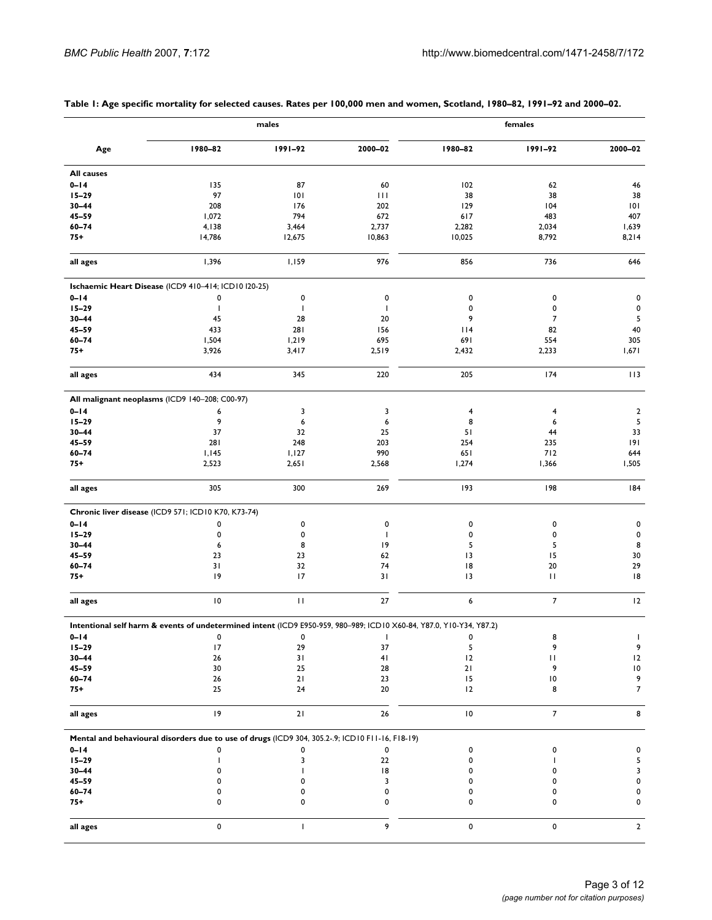|                   |                                                                                                                     | males        |              | females                 |                |                |
|-------------------|---------------------------------------------------------------------------------------------------------------------|--------------|--------------|-------------------------|----------------|----------------|
| Age               | 1980-82                                                                                                             | $1991 - 92$  | 2000-02      | 1980-82                 | 1991-92        | 2000-02        |
| <b>All causes</b> |                                                                                                                     |              |              |                         |                |                |
| $0 - 14$          | 135                                                                                                                 | 87           | 60           | 102                     | 62             | 46             |
| $15 - 29$         | 97                                                                                                                  | 0            | Ш            | 38                      | 38             | 38             |
|                   |                                                                                                                     |              |              |                         |                |                |
| $30 - 44$         | 208                                                                                                                 | 176          | 202          | 129                     | 104            | 101            |
| $45 - 59$         | 1,072                                                                                                               | 794          | 672          | 617                     | 483            | 407            |
| $60 - 74$         | 4,138                                                                                                               | 3,464        | 2,737        | 2,282                   | 2,034          | 1,639          |
| $75+$             | 14,786                                                                                                              | 12,675       | 10,863       | 10,025                  | 8,792          | 8,214          |
| all ages          | 1,396                                                                                                               | 1,159        | 976          | 856                     | 736            | 646            |
|                   | Ischaemic Heart Disease (ICD9 410-414; ICD10 I20-25)                                                                |              |              |                         |                |                |
| $0 - 14$          | 0                                                                                                                   | 0            | 0            | 0                       | 0              | 0              |
| $15 - 29$         | $\mathbf{I}$                                                                                                        | J.           | J.           | 0                       | 0              | 0              |
| $30 - 44$         | 45                                                                                                                  | 28           | 20           | 9                       | 7              | 5              |
| $45 - 59$         | 433                                                                                                                 | 281          | 156          | 114                     | 82             | 40             |
| $60 - 74$         | 1,504                                                                                                               | 1,219        | 695          | 691                     | 554            | 305            |
|                   |                                                                                                                     |              |              |                         |                |                |
| $75+$             | 3,926                                                                                                               | 3,417        | 2,519        | 2,432                   | 2,233          | 1,671          |
| all ages          | 434                                                                                                                 | 345          | 220          | 205                     | 174            | 113            |
|                   | All malignant neoplasms (ICD9 140-208; C00-97)                                                                      |              |              |                         |                |                |
| $0 - 14$          | 6                                                                                                                   | 3            | 3            | $\overline{\mathbf{4}}$ | 4              | $\overline{2}$ |
| $15 - 29$         | 9                                                                                                                   | 6            | 6            | 8                       | 6              | 5              |
| $30 - 44$         | 37                                                                                                                  | 32           | 25           | 51                      | 44             | 33             |
| $45 - 59$         | 281                                                                                                                 | 248          | 203          | 254                     | 235            | 9              |
| $60 - 74$         |                                                                                                                     |              |              |                         |                |                |
|                   | 1,145                                                                                                               | 1,127        | 990          | 651                     | 712            | 644            |
| $75+$             | 2,523                                                                                                               | 2,651        | 2,568        | 1,274                   | 1,366          | 1,505          |
| all ages          | 305                                                                                                                 | 300          | 269          | 193                     | 198            | 184            |
|                   | Chronic liver disease (ICD9 571; ICD10 K70, K73-74)                                                                 |              |              |                         |                |                |
| $0 - 14$          | 0                                                                                                                   | 0            | 0            | 0                       | 0              | 0              |
| $15 - 29$         | 0                                                                                                                   | 0            | $\mathbf{I}$ | 0                       | 0              | $\mathbf 0$    |
| $30 - 44$         | 6                                                                                                                   | 8            | 19           | 5                       | 5              | 8              |
| $45 - 59$         | 23                                                                                                                  | 23           | 62           | 13                      | 15             | 30             |
| $60 - 74$         | 31                                                                                                                  | 32           | 74           | 18                      | 20             | 29             |
|                   | 9                                                                                                                   | 17           | 31           | 13                      | $\mathbf{H}$   | 8              |
| $75+$             |                                                                                                                     |              |              |                         |                |                |
| all ages          | $\vert 0$                                                                                                           | $\mathbf{H}$ | 27           | 6                       | $\overline{7}$ | 12             |
|                   | Intentional self harm & events of undetermined intent (ICD9 E950-959, 980-989; ICD10 X60-84, Y87.0, Y10-Y34, Y87.2) |              |              |                         |                |                |
| $0 - 14$          | 0                                                                                                                   | $\Omega$     | - 1          |                         | 8              |                |
| $15 - 29$         | 17                                                                                                                  | 29           | 37           | 5                       | 9              | 9              |
| $30 - 44$         | 26                                                                                                                  | 31           | 41           | 12                      | П              | 12             |
| $45 - 59$         | 30                                                                                                                  | 25           | 28           | 21                      | 9              | $\,10$         |
| $60 - 74$         | $26\,$                                                                                                              | 21           | 23           | 15                      | 10             | 9              |
| 75+               | 25                                                                                                                  | 24           | 20           | 12                      | 8              | $\overline{7}$ |
|                   |                                                                                                                     |              |              |                         |                |                |
| all ages          | 9                                                                                                                   | $21$         | 26           | $\,$ l $\,$ 0 $\,$      | $\overline{7}$ | 8              |
|                   | Mental and behavioural disorders due to use of drugs (ICD9 304, 305.2-.9; ICD10 F11-16, F18-19)                     |              |              |                         |                |                |
| $0 - 14$          | 0                                                                                                                   | 0            | 0            | 0                       | 0              | 0              |
| $15 - 29$         |                                                                                                                     | 3            | 22           | 0                       |                | 5              |
| $30 - 44$         | 0                                                                                                                   |              | 8            | 0                       | 0              | 3              |
| $45 - 59$         |                                                                                                                     |              | 3            | 0                       | 0              | 0              |
| $60 - 74$         |                                                                                                                     |              | 0            |                         | 0              | 0              |
| $75+$             | 0                                                                                                                   | 0            | 0            | 0                       | 0              | 0              |
|                   |                                                                                                                     |              |              |                         |                |                |
| all ages          | 0                                                                                                                   | I.           | 9            | 0                       | 0              | $\overline{2}$ |

## **Table 1: Age specific mortality for selected causes. Rates per 100,000 men and women, Scotland, 1980–82, 1991–92 and 2000–02.**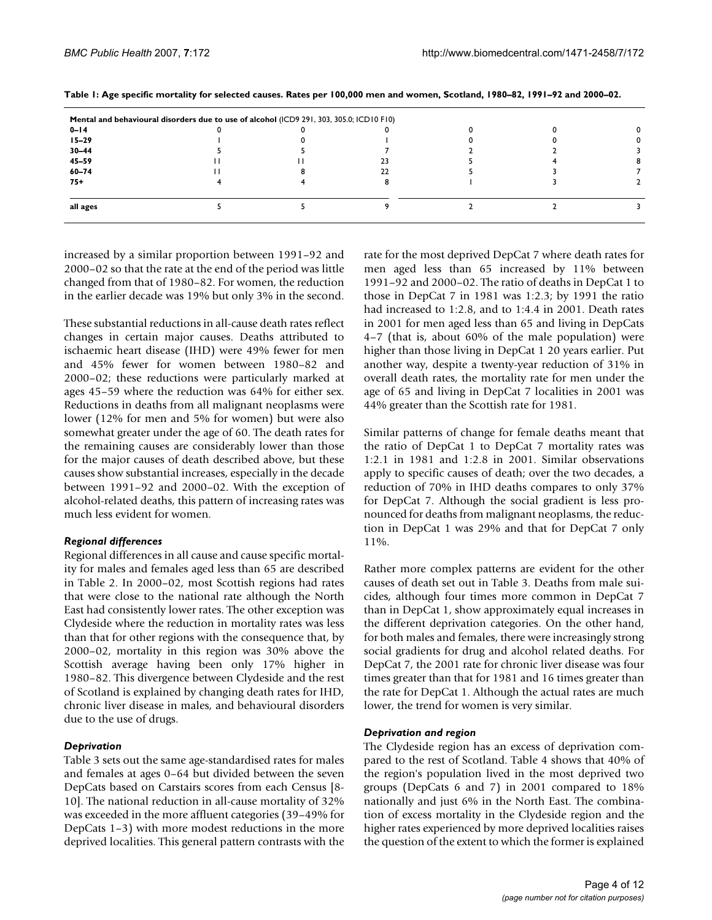|           | Mental and behavioural disorders due to use of alcohol (ICD9 291, 303, 305.0; ICD10 F10) |    |  |  |
|-----------|------------------------------------------------------------------------------------------|----|--|--|
| $0 - 14$  |                                                                                          |    |  |  |
| $15 - 29$ |                                                                                          |    |  |  |
| $30 - 44$ |                                                                                          |    |  |  |
| $45 - 59$ |                                                                                          |    |  |  |
| $60 - 74$ |                                                                                          | 22 |  |  |
| $75+$     |                                                                                          |    |  |  |
| all ages  |                                                                                          |    |  |  |

**Table 1: Age specific mortality for selected causes. Rates per 100,000 men and women, Scotland, 1980–82, 1991–92 and 2000–02.**

increased by a similar proportion between 1991–92 and 2000–02 so that the rate at the end of the period was little changed from that of 1980–82. For women, the reduction in the earlier decade was 19% but only 3% in the second.

These substantial reductions in all-cause death rates reflect changes in certain major causes. Deaths attributed to ischaemic heart disease (IHD) were 49% fewer for men and 45% fewer for women between 1980–82 and 2000–02; these reductions were particularly marked at ages 45–59 where the reduction was 64% for either sex. Reductions in deaths from all malignant neoplasms were lower (12% for men and 5% for women) but were also somewhat greater under the age of 60. The death rates for the remaining causes are considerably lower than those for the major causes of death described above, but these causes show substantial increases, especially in the decade between 1991–92 and 2000–02. With the exception of alcohol-related deaths, this pattern of increasing rates was much less evident for women.

### *Regional differences*

Regional differences in all cause and cause specific mortality for males and females aged less than 65 are described in Table 2. In 2000–02, most Scottish regions had rates that were close to the national rate although the North East had consistently lower rates. The other exception was Clydeside where the reduction in mortality rates was less than that for other regions with the consequence that, by 2000–02, mortality in this region was 30% above the Scottish average having been only 17% higher in 1980–82. This divergence between Clydeside and the rest of Scotland is explained by changing death rates for IHD, chronic liver disease in males, and behavioural disorders due to the use of drugs.

### *Deprivation*

Table 3 sets out the same age-standardised rates for males and females at ages 0–64 but divided between the seven DepCats based on Carstairs scores from each Census [8- 10]. The national reduction in all-cause mortality of 32% was exceeded in the more affluent categories (39–49% for DepCats 1–3) with more modest reductions in the more deprived localities. This general pattern contrasts with the rate for the most deprived DepCat 7 where death rates for men aged less than 65 increased by 11% between 1991–92 and 2000–02. The ratio of deaths in DepCat 1 to those in DepCat 7 in 1981 was 1:2.3; by 1991 the ratio had increased to 1:2.8, and to 1:4.4 in 2001. Death rates in 2001 for men aged less than 65 and living in DepCats 4–7 (that is, about 60% of the male population) were higher than those living in DepCat 1 20 years earlier. Put another way, despite a twenty-year reduction of 31% in overall death rates, the mortality rate for men under the age of 65 and living in DepCat 7 localities in 2001 was 44% greater than the Scottish rate for 1981.

Similar patterns of change for female deaths meant that the ratio of DepCat 1 to DepCat 7 mortality rates was 1:2.1 in 1981 and 1:2.8 in 2001. Similar observations apply to specific causes of death; over the two decades, a reduction of 70% in IHD deaths compares to only 37% for DepCat 7. Although the social gradient is less pronounced for deaths from malignant neoplasms, the reduction in DepCat 1 was 29% and that for DepCat 7 only 11%.

Rather more complex patterns are evident for the other causes of death set out in Table 3. Deaths from male suicides, although four times more common in DepCat 7 than in DepCat 1, show approximately equal increases in the different deprivation categories. On the other hand, for both males and females, there were increasingly strong social gradients for drug and alcohol related deaths. For DepCat 7, the 2001 rate for chronic liver disease was four times greater than that for 1981 and 16 times greater than the rate for DepCat 1. Although the actual rates are much lower, the trend for women is very similar.

#### *Deprivation and region*

The Clydeside region has an excess of deprivation compared to the rest of Scotland. Table 4 shows that 40% of the region's population lived in the most deprived two groups (DepCats 6 and 7) in 2001 compared to 18% nationally and just 6% in the North East. The combination of excess mortality in the Clydeside region and the higher rates experienced by more deprived localities raises the question of the extent to which the former is explained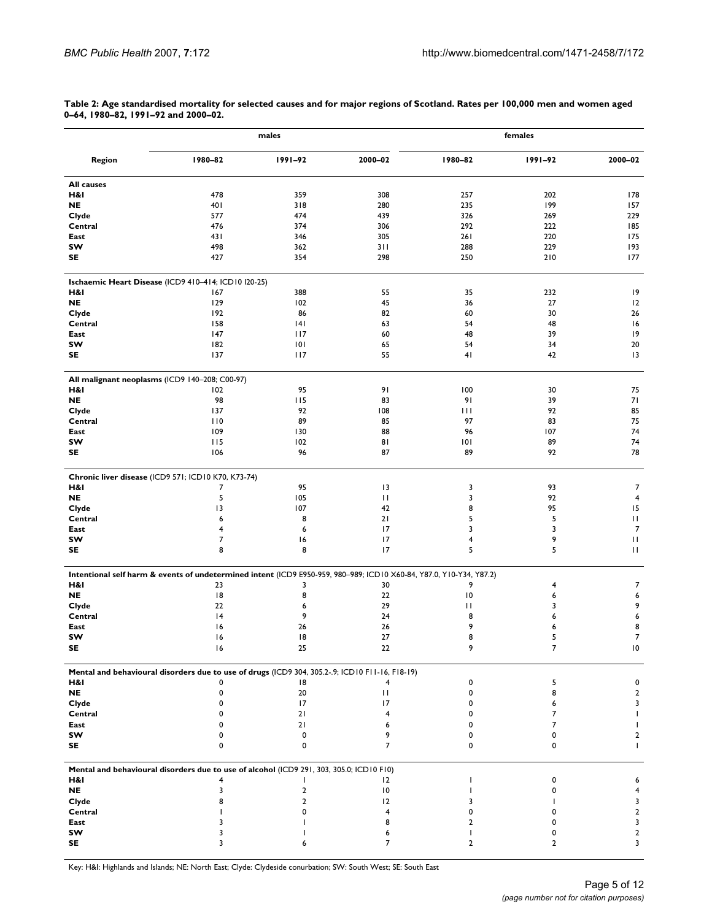|                   |                                                                                                                     | males                   |              | females        |             |                   |  |
|-------------------|---------------------------------------------------------------------------------------------------------------------|-------------------------|--------------|----------------|-------------|-------------------|--|
| <b>Region</b>     | 1980-82                                                                                                             | 1991-92                 | 2000-02      | 1980-82        | $1991 - 92$ | 2000-02           |  |
| <b>All causes</b> |                                                                                                                     |                         |              |                |             |                   |  |
| H&I               | 478                                                                                                                 | 359                     | 308          | 257            | 202         | 178               |  |
| <b>NE</b>         | 401                                                                                                                 | 318                     | 280          | 235            | 199         | 157               |  |
| Clyde             | 577                                                                                                                 | 474                     | 439          | 326            | 269         | 229               |  |
| Central           | 476                                                                                                                 | 374                     | 306          | 292            | 222         | 185               |  |
| East              | 431                                                                                                                 | 346                     | 305          | 261            | 220         | 175               |  |
| sw                | 498                                                                                                                 | 362                     | 311          | 288            | 229         | 193               |  |
| SE                | 427                                                                                                                 | 354                     | 298          | 250            | 210         | 177               |  |
|                   | Ischaemic Heart Disease (ICD9 410-414; ICD10 I20-25)                                                                |                         |              |                |             |                   |  |
| H&I               | 167                                                                                                                 | 388                     | 55           | 35             | 232         | 9                 |  |
| <b>NE</b>         | 129                                                                                                                 | 102                     | 45           | 36             | 27          | 12                |  |
| Clyde             | 192                                                                                                                 | 86                      | 82           | 60             | 30          | 26                |  |
| Central           | 158                                                                                                                 | 4                       | 63           | 54             | 48          | 16                |  |
| East              | 147                                                                                                                 | 117                     | 60           | 48             | 39          | 9                 |  |
| sw                | 182                                                                                                                 | 101                     | 65           | 54             | 34          | 20                |  |
| SE                | 137                                                                                                                 | 117                     | 55           | 41             | 42          | 3                 |  |
|                   |                                                                                                                     |                         |              |                |             |                   |  |
| H&I               | All malignant neoplasms (ICD9 140-208; C00-97)<br>102                                                               | 95                      | 91           | 100            | 30          | 75                |  |
| <b>NE</b>         | 98                                                                                                                  | 115                     | 83           | 91             | 39          | 71                |  |
| Clyde             | 137                                                                                                                 | 92                      | 108          | Ш              | 92          | 85                |  |
| Central           | 110                                                                                                                 | 89                      | 85           | 97             | 83          | 75                |  |
| East              | 109                                                                                                                 | 130                     | 88           | 96             | 107         | 74                |  |
| SW                | 115                                                                                                                 | 102                     | 81           | 101            | 89          | 74                |  |
| SE                | 106                                                                                                                 | 96                      | 87           | 89             | 92          | 78                |  |
|                   | Chronic liver disease (ICD9 571; ICD10 K70, K73-74)                                                                 |                         |              |                |             |                   |  |
| H&I               | 7                                                                                                                   | 95                      | 3            | 3              | 93          | 7                 |  |
| <b>NE</b>         | 5                                                                                                                   | 105                     | $\mathbf{H}$ | 3              | 92          | $\overline{4}$    |  |
| Clyde             | 13                                                                                                                  | 107                     | 42           | 8              | 95          | 15                |  |
| Central           | 6                                                                                                                   | 8                       | 21           | 5              | 5           | П                 |  |
| East              | 4                                                                                                                   | 6                       | 17           | 3              | 3           | $\overline{7}$    |  |
|                   | $\overline{7}$                                                                                                      |                         |              |                | 9           |                   |  |
| sw<br>SE          | 8                                                                                                                   | 16<br>8                 | 17<br>17     | 4<br>5         | 5           | П<br>$\mathbf{H}$ |  |
|                   |                                                                                                                     |                         |              |                |             |                   |  |
|                   | Intentional self harm & events of undetermined intent (ICD9 E950-959, 980-989; ICD10 X60-84, Y87.0, Y10-Y34, Y87.2) |                         |              |                |             |                   |  |
| H&I               | 23                                                                                                                  | 3                       | 30           | 9              | 4           | 7                 |  |
| <b>NE</b>         | 18                                                                                                                  | 8                       | 22           | 10             | 6           | 6                 |  |
| Clyde             | 22                                                                                                                  | 6                       | 29           | П              | 3           | 9                 |  |
| Central           | 4                                                                                                                   | 9                       | 24           | 8              | 6           | 6                 |  |
| East              | 16                                                                                                                  | 26                      | 26           | 9              | 6           | 8                 |  |
| sw                | 16                                                                                                                  | 18                      | 27           | 8              | 5           | $\overline{7}$    |  |
| SE                | 16                                                                                                                  | 25                      | 22           | 9              | 7           | 10                |  |
|                   |                                                                                                                     |                         |              |                |             |                   |  |
|                   | Mental and behavioural disorders due to use of drugs (ICD9 304, 305.2-.9; ICD10 F11-16, F18-19)                     |                         |              |                |             |                   |  |
| H&I               | 0                                                                                                                   | 18                      | 4            | 0              | 5           | 0                 |  |
| <b>NE</b>         | 0                                                                                                                   | 20                      | П            | 0              | 8           | $\overline{2}$    |  |
| Clyde             | 0                                                                                                                   | 17                      | 17           | 0              | 6           | 3                 |  |
| Central           | $\mathbf 0$                                                                                                         | 21                      | 4            | 0              | 7           | T                 |  |
| East              | $\mathbf 0$                                                                                                         | 21                      | 6            | n              | 7           | T                 |  |
| SW                | $\mathbf 0$                                                                                                         | 0                       | 9            |                | 0           | 2                 |  |
| SE                | 0                                                                                                                   | 0                       | 7            | 0              | 0           | L                 |  |
|                   | Mental and behavioural disorders due to use of alcohol (ICD9 291, 303, 305.0; ICD10 F10)                            |                         |              |                |             |                   |  |
| H&I               | 4                                                                                                                   |                         | 12           | -1             | 0           | 6                 |  |
| <b>NE</b>         | 3                                                                                                                   | $\mathbf{2}$            | 10           | -1             | 0           | 4                 |  |
| Clyde             | 8                                                                                                                   | $\overline{\mathbf{c}}$ | 12           | 3              | т           | 3                 |  |
| Central           |                                                                                                                     | 0                       | 4            | 0              | 0           | $\mathbf{2}$      |  |
| East              | 3                                                                                                                   |                         | 8            | 2              | 0           | 3                 |  |
| sw                | 3                                                                                                                   |                         | 6            | $\mathbf{I}$   | 0           | $\mathbf{2}$      |  |
| SE                | 3                                                                                                                   | 6                       | 7            | $\overline{2}$ | 2           | 3                 |  |
|                   |                                                                                                                     |                         |              |                |             |                   |  |

**Table 2: Age standardised mortality for selected causes and for major regions of Scotland. Rates per 100,000 men and women aged 0–64, 1980–82, 1991–92 and 2000–02.**

Key: H&I: Highlands and Islands; NE: North East; Clyde: Clydeside conurbation; SW: South West; SE: South East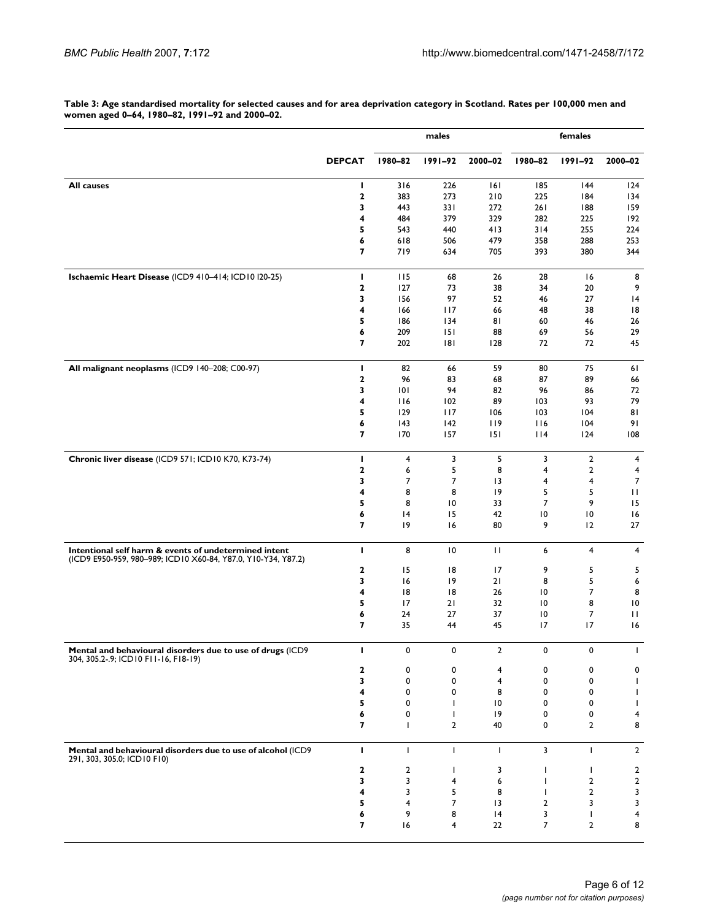**Table 3: Age standardised mortality for selected causes and for area deprivation category in Scotland. Rates per 100,000 men and women aged 0–64, 1980–82, 1991–92 and 2000–02.**

|                                                                                                                        |               | males          |                                |                         | females                 |                         |                 |  |
|------------------------------------------------------------------------------------------------------------------------|---------------|----------------|--------------------------------|-------------------------|-------------------------|-------------------------|-----------------|--|
|                                                                                                                        | <b>DEPCAT</b> | 1980-82        | $1991 - 92$                    | 2000-02                 | 1980-82                 | $1991 - 92$             | 2000-02         |  |
| All causes                                                                                                             | ı             | 316            | 226                            | 6                       | 185                     | 144                     | 124             |  |
|                                                                                                                        | $\mathbf 2$   | 383            | 273                            | 210                     | 225                     | 184                     | 134             |  |
|                                                                                                                        | 3             | 443            | 331                            | 272                     | 261                     | 188                     | 159             |  |
|                                                                                                                        | 4             | 484            | 379                            | 329                     | 282                     | 225                     | 192             |  |
|                                                                                                                        | 5             | 543            | 440                            | 413                     | 314                     | 255                     | 224             |  |
|                                                                                                                        | 6             | 618            | 506                            | 479                     | 358                     | 288                     | 253             |  |
|                                                                                                                        | 7             | 719            | 634                            | 705                     | 393                     | 380                     | 344             |  |
| Ischaemic Heart Disease (ICD9 410-414; ICD10 I20-25)                                                                   | L             | 115            | 68                             | 26                      | 28                      | 16                      | 8               |  |
|                                                                                                                        | 2<br>3        | 127<br>156     | 73<br>97                       | 38<br>52                | 34<br>46                | 20<br>27                | 9<br> 4         |  |
|                                                                                                                        | 4             | 166            | 117                            | 66                      | 48                      | 38                      | 8               |  |
|                                                                                                                        | 5             | 186            | 134                            | 81                      | 60                      | 46                      | 26              |  |
|                                                                                                                        | 6             | 209            | 151                            | 88                      | 69                      | 56                      | 29              |  |
|                                                                                                                        | 7             | 202            | 181                            | 128                     | 72                      | 72                      | 45              |  |
| All malignant neoplasms (ICD9 140-208; C00-97)                                                                         | L             | 82             | 66                             | 59                      | 80                      | 75                      | 61              |  |
|                                                                                                                        | 2             | 96             | 83                             | 68                      | 87                      | 89                      | 66              |  |
|                                                                                                                        | 3             | 101            | 94                             | 82                      | 96                      | 86                      | 72              |  |
|                                                                                                                        | 4             | 116            | 102                            | 89                      | 103                     | 93                      | 79              |  |
|                                                                                                                        | 5             | 129            | 117                            | 106                     | 103                     | 104                     | 81              |  |
|                                                                                                                        | 6             | 43             | 142                            | 119                     | 116                     | 104                     | 91              |  |
|                                                                                                                        | 7             | 170            | 157                            | 151                     | $ $  4                  | 124                     | 108             |  |
| Chronic liver disease (ICD9 571; ICD10 K70, K73-74)                                                                    | L             | 4              | 3                              | 5                       | 3                       | $\overline{2}$          | 4               |  |
|                                                                                                                        | 2             | 6              | 5                              | 8                       | 4                       | 2                       | 4               |  |
|                                                                                                                        | 3             | $\overline{7}$ | 7                              | 13                      | $\overline{\mathbf{4}}$ | $\overline{\mathbf{4}}$ | $\overline{7}$  |  |
|                                                                                                                        | 4<br>5        | 8              | 8                              | 19                      | 5<br>$\overline{7}$     | 5<br>9                  | П<br>15         |  |
|                                                                                                                        | 6             | 8<br> 4        | 10<br>15                       | 33<br>42                | 10                      | 10                      | 16              |  |
|                                                                                                                        | 7             | 19             | 6                              | 80                      | 9                       | 12                      | 27              |  |
| Intentional self harm & events of undetermined intent<br>(ICD9 E950-959, 980-989; ICD10 X60-84, Y87.0, Y10-Y34, Y87.2) | L             | 8              | $\overline{10}$                | $\mathbf{H}$            | 6                       | 4                       | 4               |  |
|                                                                                                                        | 2             | 15             | 18                             | 17                      | 9                       | 5                       | 5               |  |
|                                                                                                                        | 3             | 6              | 19                             | 21                      | 8                       | 5                       | 6               |  |
|                                                                                                                        | 4             | 18             | 18                             | 26                      | 10                      | 7                       | 8               |  |
|                                                                                                                        | 5             | 17             | 21                             | 32                      | $\overline{10}$         | 8                       | $\overline{10}$ |  |
|                                                                                                                        | 6             | 24             | 27                             | 37                      | $\overline{10}$         | $\overline{7}$          | $\mathbf{H}$    |  |
|                                                                                                                        | 7             | 35             | 44                             | 45                      | 17                      | 17                      | 16              |  |
| Mental and behavioural disorders due to use of drugs (ICD9<br>304, 305.2-.9; ICD10 F11-16, F18-19)                     | L             | 0              | 0                              | 2                       | 0                       | 0                       | I.              |  |
|                                                                                                                        | 2             | 0              | 0                              | 4                       | 0                       | 0                       | 0               |  |
|                                                                                                                        | 3             | 0              | 0                              | $\overline{\mathbf{4}}$ | 0                       | 0                       | $\mathbf{I}$    |  |
|                                                                                                                        | 4             | 0              | 0                              | 8                       | 0                       | 0                       | $\mathbf{I}$    |  |
|                                                                                                                        | 5             | 0              | $\mathbf{I}$                   | 10                      | 0                       | 0                       | $\mathbf{I}$    |  |
|                                                                                                                        | 6<br>7        | 0<br>L         | $\mathbf{I}$<br>$\overline{2}$ | 19<br>40                | 0<br>0                  | 0<br>$\mathbf{2}$       | 4<br>8          |  |
| Mental and behavioural disorders due to use of alcohol (ICD9                                                           | L             | Т              | $\mathbf{I}$                   | T                       | 3                       | $\mathbf{I}$            | $\overline{2}$  |  |
| 291, 303, 305.0; ICD10 F10)                                                                                            | 2             | 2              | $\mathbf{I}$                   | 3                       | L                       | T                       | $\overline{2}$  |  |
|                                                                                                                        | 3             | 3              | 4                              | 6                       |                         | $\mathbf{2}$            | $\mathbf 2$     |  |
|                                                                                                                        | 4             | 3              | 5                              | 8                       |                         | $\overline{2}$          | 3               |  |
|                                                                                                                        | 5             | 4              | 7                              | 13                      | 2                       | 3                       | 3               |  |
|                                                                                                                        | 6             | 9              | 8                              | 4                       | 3                       | $\mathbf{I}$            | 4               |  |
|                                                                                                                        | 7             | 16             | 4                              | 22                      | 7                       | $\overline{2}$          | 8               |  |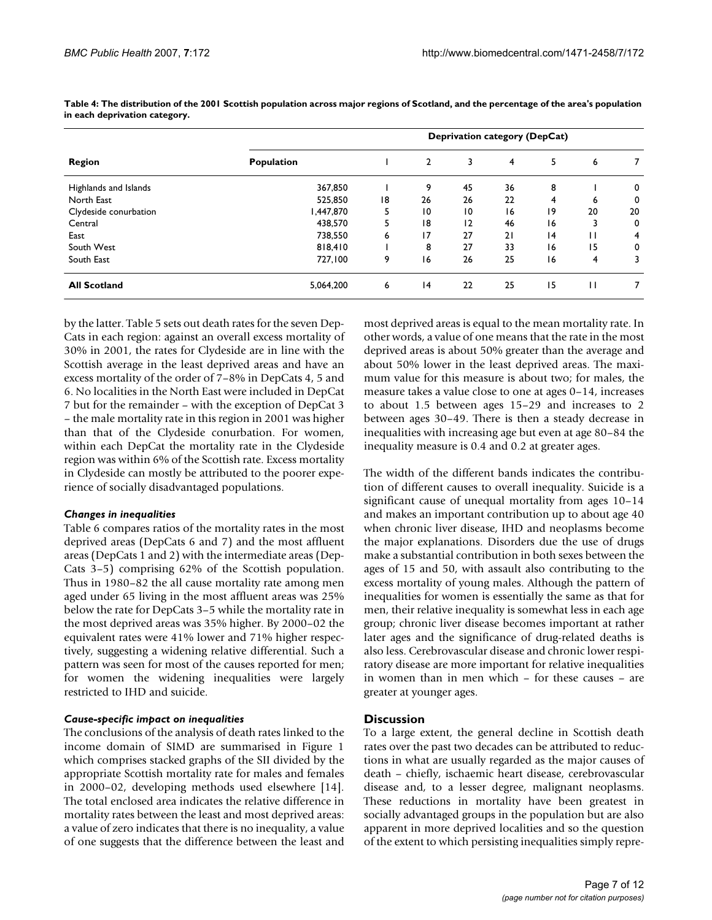|                       | <b>Deprivation category (DepCat)</b> |    |                 |                 |                |    |    |    |
|-----------------------|--------------------------------------|----|-----------------|-----------------|----------------|----|----|----|
| <b>Region</b>         | <b>Population</b>                    |    | $\overline{2}$  | 3               | $\overline{4}$ | 5  | 6  |    |
| Highlands and Islands | 367,850                              |    | 9               | 45              | 36             | 8  |    | 0  |
| North East            | 525,850                              | 18 | 26              | 26              | 22             | 4  | 6  | 0  |
| Clydeside conurbation | 1,447,870                            | 5  | $\overline{10}$ | $\overline{10}$ | 16             | 19 | 20 | 20 |
| Central               | 438,570                              | 5  | 18              | $\overline{2}$  | 46             | 16 |    | 0  |
| East                  | 738,550                              | 6  | 17              | 27              | 21             | 4  | Ħ  | 4  |
| South West            | 818,410                              |    | 8               | 27              | 33             | 16 | 15 | 0  |
| South East            | 727,100                              | 9  | 16              | 26              | 25             | 16 | 4  | 3  |
| <b>All Scotland</b>   | 5,064,200                            | 6  | 4               | 22              | 25             | 15 | П  |    |

**Table 4: The distribution of the 2001 Scottish population across major regions of Scotland, and the percentage of the area's population in each deprivation category.**

by the latter. Table 5 sets out death rates for the seven Dep-Cats in each region: against an overall excess mortality of 30% in 2001, the rates for Clydeside are in line with the Scottish average in the least deprived areas and have an excess mortality of the order of 7–8% in DepCats 4, 5 and 6. No localities in the North East were included in DepCat 7 but for the remainder – with the exception of DepCat 3 – the male mortality rate in this region in 2001 was higher than that of the Clydeside conurbation. For women, within each DepCat the mortality rate in the Clydeside region was within 6% of the Scottish rate. Excess mortality in Clydeside can mostly be attributed to the poorer experience of socially disadvantaged populations.

### *Changes in inequalities*

Table 6 compares ratios of the mortality rates in the most deprived areas (DepCats 6 and 7) and the most affluent areas (DepCats 1 and 2) with the intermediate areas (Dep-Cats 3–5) comprising 62% of the Scottish population. Thus in 1980–82 the all cause mortality rate among men aged under 65 living in the most affluent areas was 25% below the rate for DepCats 3–5 while the mortality rate in the most deprived areas was 35% higher. By 2000–02 the equivalent rates were 41% lower and 71% higher respectively, suggesting a widening relative differential. Such a pattern was seen for most of the causes reported for men; for women the widening inequalities were largely restricted to IHD and suicide.

#### *Cause-specific impact on inequalities*

The conclusions of the analysis of death rates linked to the income domain of SIMD are summarised in Figure 1 which comprises stacked graphs of the SII divided by the appropriate Scottish mortality rate for males and females in 2000–02, developing methods used elsewhere [14]. The total enclosed area indicates the relative difference in mortality rates between the least and most deprived areas: a value of zero indicates that there is no inequality, a value of one suggests that the difference between the least and

most deprived areas is equal to the mean mortality rate. In other words, a value of one means that the rate in the most deprived areas is about 50% greater than the average and about 50% lower in the least deprived areas. The maximum value for this measure is about two; for males, the measure takes a value close to one at ages 0–14, increases to about 1.5 between ages 15–29 and increases to 2 between ages 30–49. There is then a steady decrease in inequalities with increasing age but even at age 80–84 the inequality measure is 0.4 and 0.2 at greater ages.

The width of the different bands indicates the contribution of different causes to overall inequality. Suicide is a significant cause of unequal mortality from ages 10–14 and makes an important contribution up to about age 40 when chronic liver disease, IHD and neoplasms become the major explanations. Disorders due the use of drugs make a substantial contribution in both sexes between the ages of 15 and 50, with assault also contributing to the excess mortality of young males. Although the pattern of inequalities for women is essentially the same as that for men, their relative inequality is somewhat less in each age group; chronic liver disease becomes important at rather later ages and the significance of drug-related deaths is also less. Cerebrovascular disease and chronic lower respiratory disease are more important for relative inequalities in women than in men which – for these causes – are greater at younger ages.

### **Discussion**

To a large extent, the general decline in Scottish death rates over the past two decades can be attributed to reductions in what are usually regarded as the major causes of death – chiefly, ischaemic heart disease, cerebrovascular disease and, to a lesser degree, malignant neoplasms. These reductions in mortality have been greatest in socially advantaged groups in the population but are also apparent in more deprived localities and so the question of the extent to which persisting inequalities simply repre-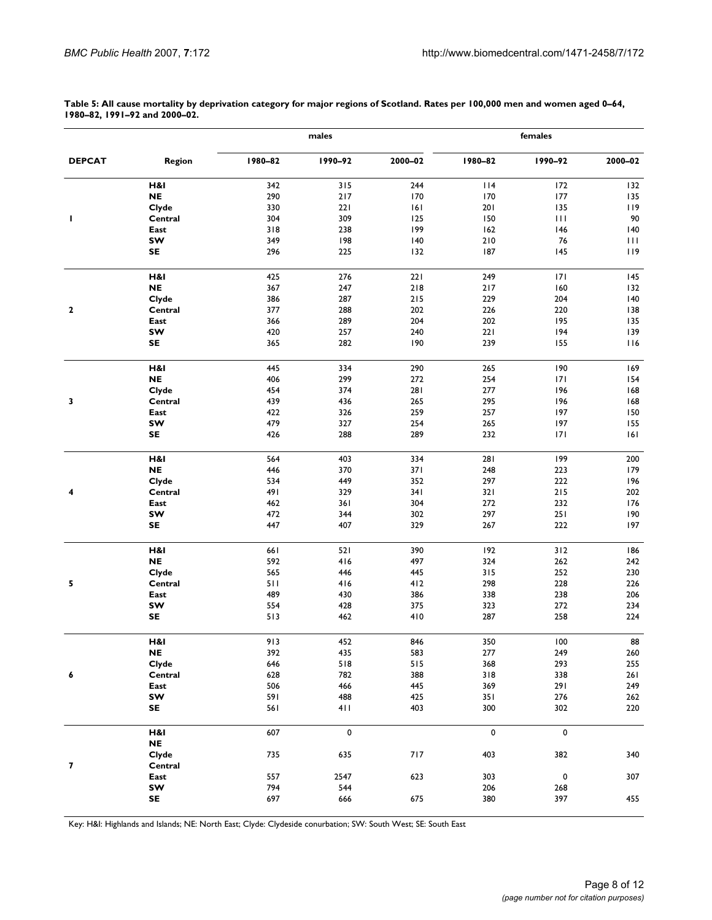**males females DEPCAT Region 1980–82 1990–92 2000–02 1980–82 1990–92 2000–02 H&I** 342 315 244 114 172 132 **NE** 290 217 170 170 170 177 135 **Clyde** 330 221 161 201 135 119 **1 Central** 304 309 125 150 111 90 **East** 318 238 199 162 146 140 **SW** 349 198 140 210 76 111 **SE** 296 225 132 187 145 119 **H&I** 425 276 221 249 171 145 **NE** 367 247 218 217 160 132

**Table 5: All cause mortality by deprivation category for major regions of Scotland. Rates per 100,000 men and women aged 0–64, 1980–82, 1991–92 and 2000–02.**

|             | H&I       | 425 | 276  | 22 I  | 249   | 171         | 145         |
|-------------|-----------|-----|------|-------|-------|-------------|-------------|
|             | $\sf NE$  | 367 | 247  | $218$ | $217$ | 160         | 132         |
|             | Clyde     | 386 | 287  | $215$ | 229   | 204         | 140         |
| $\mathbf 2$ | Central   | 377 | 288  | 202   | 226   | 220         | 138         |
|             | East      | 366 | 289  | 204   | 202   | 195         | 135         |
|             | SW        | 420 | 257  | 240   | 221   | 194         | 139         |
|             | SE        | 365 | 282  | 190   | 239   | 155         | 116         |
|             |           |     |      |       |       |             |             |
|             | H&I       | 445 | 334  | 290   | 265   | 190         | 169         |
|             | $\sf NE$  | 406 | 299  | 272   | 254   | 171         | 154         |
|             | Clyde     | 454 | 374  | 281   | 277   | 196         | 168         |
| 3           | Central   | 439 | 436  | 265   | 295   | 196         | 168         |
|             | East      | 422 | 326  | 259   | 257   | 197         | 150         |
|             | SW        | 479 | 327  | 254   | 265   | 197         | 155         |
|             | <b>SE</b> | 426 | 288  | 289   | 232   | 171         | 6           |
|             | H&I       | 564 | 403  | 334   | 281   | 199         | 200         |
|             | <b>NE</b> | 446 | 370  | 371   | 248   | 223         | 179         |
|             | Clyde     | 534 | 449  | 352   | 297   | 222         | 196         |
| 4           | Central   | 491 | 329  | 341   | 321   | $215$       | 202         |
|             |           |     |      |       |       |             |             |
|             | East      | 462 | 361  | 304   | 272   | 232         | 176         |
|             | SW        | 472 | 344  | 302   | 297   | 251         | 190         |
|             | <b>SE</b> | 447 | 407  | 329   | 267   | 222         | 197         |
|             | H&I       | 661 | 521  | 390   | 192   | 312         | 186         |
|             | <b>NE</b> | 592 | 416  | 497   | 324   | 262         | 242         |
|             | Clyde     | 565 | 446  | 445   | 315   | 252         | 230         |
| 5           | Central   | 511 | 416  | 412   | 298   | 228         | 226         |
|             | East      | 489 | 430  | 386   | 338   | 238         | 206         |
|             | sw        | 554 | 428  | 375   | 323   | 272         | 234         |
|             | SE        | 513 | 462  | 410   | 287   | 258         | 224         |
|             | H&I       | 913 | 452  | 846   | 350   | 100         | 88          |
|             | <b>NE</b> | 392 | 435  | 583   | 277   | 249         | ${\bf 260}$ |
|             | Clyde     | 646 | 518  | 515   | 368   | 293         | 255         |
| 6           | Central   | 628 | 782  | 388   | 318   | 338         | 261         |
|             | East      | 506 | 466  | 445   | 369   | 291         | 249         |
|             | SW        | 591 | 488  | 425   | 351   | 276         | 262         |
|             | <b>SE</b> | 561 | 411  | 403   | 300   | 302         | 220         |
|             |           |     |      |       |       |             |             |
|             | H&I       | 607 | 0    |       | 0     | $\mathbf 0$ |             |
|             | <b>NE</b> |     |      |       |       |             |             |
|             | Clyde     | 735 | 635  | 717   | 403   | 382         | 340         |
| 7           | Central   |     |      |       |       |             |             |
|             | East      | 557 | 2547 | 623   | 303   | $\pmb{0}$   | 307         |
|             | sw        | 794 | 544  |       | 206   | 268         |             |
|             | SE        | 697 | 666  | 675   | 380   | 397         | 455         |
|             |           |     |      |       |       |             |             |

Key: H&I: Highlands and Islands; NE: North East; Clyde: Clydeside conurbation; SW: South West; SE: South East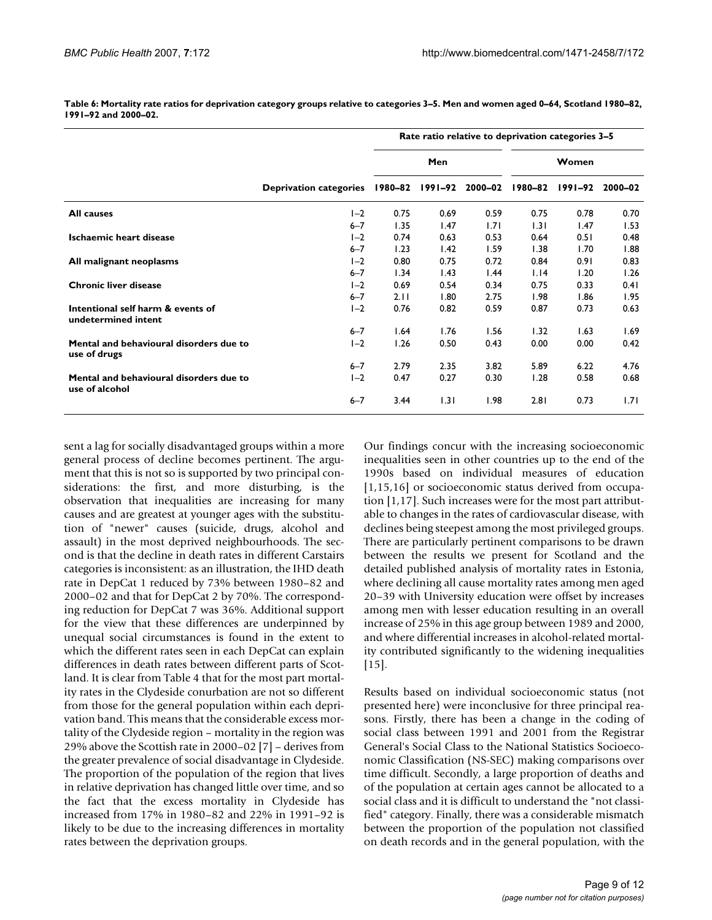|                                                           |                               | Rate ratio relative to deprivation categories 3-5 |         |         |         |             |         |  |
|-----------------------------------------------------------|-------------------------------|---------------------------------------------------|---------|---------|---------|-------------|---------|--|
|                                                           |                               |                                                   | Men     |         |         | Women       |         |  |
|                                                           | <b>Deprivation categories</b> | 1980–82                                           | 1991–92 | 2000-02 | 1980-82 | $1991 - 92$ | 2000-02 |  |
| <b>All causes</b>                                         | $I-2$                         | 0.75                                              | 0.69    | 0.59    | 0.75    | 0.78        | 0.70    |  |
|                                                           | $6 - 7$                       | 1.35                                              | 1.47    | 1.71    | 1.31    | 1.47        | 1.53    |  |
| Ischaemic heart disease                                   | $I - 2$                       | 0.74                                              | 0.63    | 0.53    | 0.64    | 0.51        | 0.48    |  |
|                                                           | $6 - 7$                       | 1.23                                              | 1.42    | 1.59    | 1.38    | 1.70        | 1.88    |  |
| All malignant neoplasms                                   | $I - 2$                       | 0.80                                              | 0.75    | 0.72    | 0.84    | 0.91        | 0.83    |  |
|                                                           | $6 - 7$                       | 1.34                                              | 1.43    | 1.44    | 1.14    | 1.20        | 1.26    |  |
| <b>Chronic liver disease</b>                              | $I-2$                         | 0.69                                              | 0.54    | 0.34    | 0.75    | 0.33        | 0.41    |  |
|                                                           | $6 - 7$                       | 2.11                                              | 1.80    | 2.75    | 1.98    | 1.86        | 1.95    |  |
| Intentional self harm & events of<br>undetermined intent  | $I-2$                         | 0.76                                              | 0.82    | 0.59    | 0.87    | 0.73        | 0.63    |  |
|                                                           | $6 - 7$                       | 1.64                                              | 1.76    | 1.56    | 1.32    | 1.63        | 1.69    |  |
| Mental and behavioural disorders due to<br>use of drugs   | $I - 2$                       | 1.26                                              | 0.50    | 0.43    | 0.00    | 0.00        | 0.42    |  |
|                                                           | $6 - 7$                       | 2.79                                              | 2.35    | 3.82    | 5.89    | 6.22        | 4.76    |  |
| Mental and behavioural disorders due to<br>use of alcohol | $I-2$                         | 0.47                                              | 0.27    | 0.30    | 1.28    | 0.58        | 0.68    |  |
|                                                           | $6 - 7$                       | 3.44                                              | 1.31    | 1.98    | 2.81    | 0.73        | 1.71    |  |

**Table 6: Mortality rate ratios for deprivation category groups relative to categories 3–5. Men and women aged 0–64, Scotland 1980–82, 1991–92 and 2000–02.**

sent a lag for socially disadvantaged groups within a more general process of decline becomes pertinent. The argument that this is not so is supported by two principal considerations: the first, and more disturbing, is the observation that inequalities are increasing for many causes and are greatest at younger ages with the substitution of "newer" causes (suicide, drugs, alcohol and assault) in the most deprived neighbourhoods. The second is that the decline in death rates in different Carstairs categories is inconsistent: as an illustration, the IHD death rate in DepCat 1 reduced by 73% between 1980–82 and 2000–02 and that for DepCat 2 by 70%. The corresponding reduction for DepCat 7 was 36%. Additional support for the view that these differences are underpinned by unequal social circumstances is found in the extent to which the different rates seen in each DepCat can explain differences in death rates between different parts of Scotland. It is clear from Table 4 that for the most part mortality rates in the Clydeside conurbation are not so different from those for the general population within each deprivation band. This means that the considerable excess mortality of the Clydeside region – mortality in the region was 29% above the Scottish rate in 2000–02 [7] – derives from the greater prevalence of social disadvantage in Clydeside. The proportion of the population of the region that lives in relative deprivation has changed little over time, and so the fact that the excess mortality in Clydeside has increased from 17% in 1980–82 and 22% in 1991–92 is likely to be due to the increasing differences in mortality rates between the deprivation groups.

Our findings concur with the increasing socioeconomic inequalities seen in other countries up to the end of the 1990s based on individual measures of education [1,15,16] or socioeconomic status derived from occupation [1,17]. Such increases were for the most part attributable to changes in the rates of cardiovascular disease, with declines being steepest among the most privileged groups. There are particularly pertinent comparisons to be drawn between the results we present for Scotland and the detailed published analysis of mortality rates in Estonia, where declining all cause mortality rates among men aged 20–39 with University education were offset by increases among men with lesser education resulting in an overall increase of 25% in this age group between 1989 and 2000, and where differential increases in alcohol-related mortality contributed significantly to the widening inequalities  $[15]$ .

Results based on individual socioeconomic status (not presented here) were inconclusive for three principal reasons. Firstly, there has been a change in the coding of social class between 1991 and 2001 from the Registrar General's Social Class to the National Statistics Socioeconomic Classification (NS-SEC) making comparisons over time difficult. Secondly, a large proportion of deaths and of the population at certain ages cannot be allocated to a social class and it is difficult to understand the "not classified" category. Finally, there was a considerable mismatch between the proportion of the population not classified on death records and in the general population, with the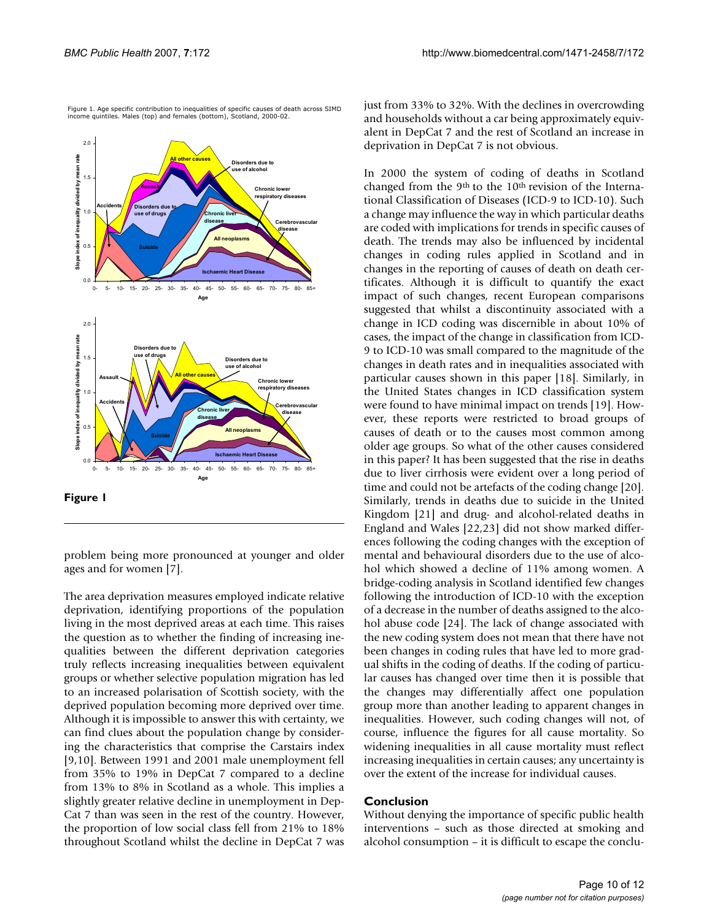

Figure 1. Age specific contribution to inequalities of specific causes of death across SIMD income quintiles. Males (top) and females (bottom), Scotland, 2000-02.

**Figure 1**

problem being more pronounced at younger and older ages and for women [7].

The area deprivation measures employed indicate relative deprivation, identifying proportions of the population living in the most deprived areas at each time. This raises the question as to whether the finding of increasing inequalities between the different deprivation categories truly reflects increasing inequalities between equivalent groups or whether selective population migration has led to an increased polarisation of Scottish society, with the deprived population becoming more deprived over time. Although it is impossible to answer this with certainty, we can find clues about the population change by considering the characteristics that comprise the Carstairs index [9,10]. Between 1991 and 2001 male unemployment fell from 35% to 19% in DepCat 7 compared to a decline from 13% to 8% in Scotland as a whole. This implies a slightly greater relative decline in unemployment in Dep-Cat 7 than was seen in the rest of the country. However, the proportion of low social class fell from 21% to 18% throughout Scotland whilst the decline in DepCat 7 was

just from 33% to 32%. With the declines in overcrowding and households without a car being approximately equivalent in DepCat 7 and the rest of Scotland an increase in deprivation in DepCat 7 is not obvious.

In 2000 the system of coding of deaths in Scotland changed from the 9<sup>th</sup> to the 10<sup>th</sup> revision of the International Classification of Diseases (ICD-9 to ICD-10). Such a change may influence the way in which particular deaths are coded with implications for trends in specific causes of death. The trends may also be influenced by incidental changes in coding rules applied in Scotland and in changes in the reporting of causes of death on death certificates. Although it is difficult to quantify the exact impact of such changes, recent European comparisons suggested that whilst a discontinuity associated with a change in ICD coding was discernible in about 10% of cases, the impact of the change in classification from ICD-9 to ICD-10 was small compared to the magnitude of the changes in death rates and in inequalities associated with particular causes shown in this paper [18]. Similarly, in the United States changes in ICD classification system were found to have minimal impact on trends [19]. However, these reports were restricted to broad groups of causes of death or to the causes most common among older age groups. So what of the other causes considered in this paper? It has been suggested that the rise in deaths due to liver cirrhosis were evident over a long period of time and could not be artefacts of the coding change [20]. Similarly, trends in deaths due to suicide in the United Kingdom [21] and drug- and alcohol-related deaths in England and Wales [22,23] did not show marked differences following the coding changes with the exception of mental and behavioural disorders due to the use of alcohol which showed a decline of 11% among women. A bridge-coding analysis in Scotland identified few changes following the introduction of ICD-10 with the exception of a decrease in the number of deaths assigned to the alcohol abuse code [24]. The lack of change associated with the new coding system does not mean that there have not been changes in coding rules that have led to more gradual shifts in the coding of deaths. If the coding of particular causes has changed over time then it is possible that the changes may differentially affect one population group more than another leading to apparent changes in inequalities. However, such coding changes will not, of course, influence the figures for all cause mortality. So widening inequalities in all cause mortality must reflect increasing inequalities in certain causes; any uncertainty is over the extent of the increase for individual causes.

#### **Conclusion**

Without denying the importance of specific public health interventions – such as those directed at smoking and alcohol consumption – it is difficult to escape the conclu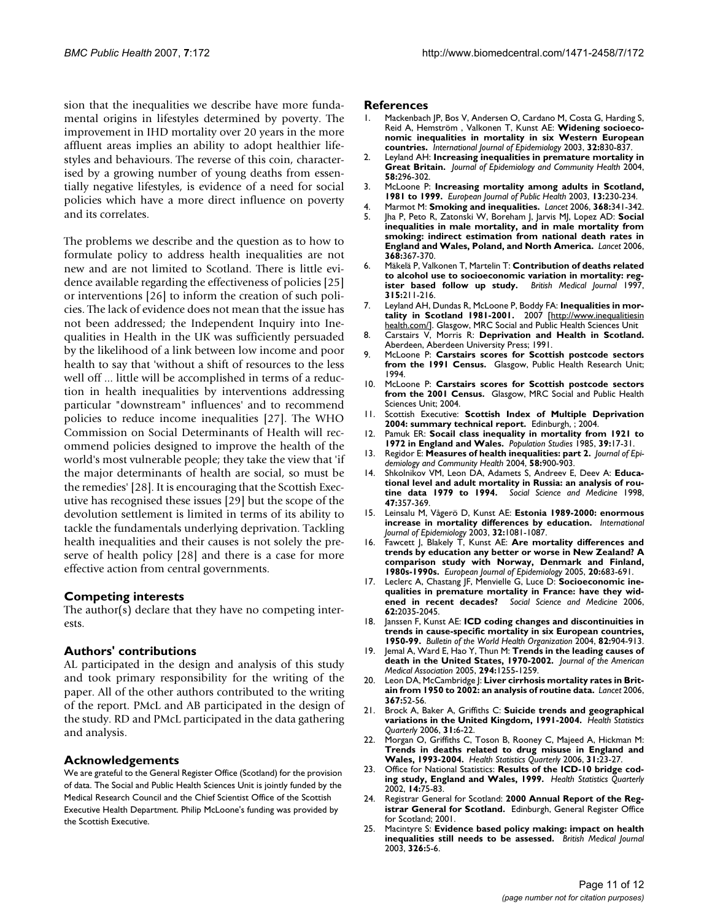sion that the inequalities we describe have more fundamental origins in lifestyles determined by poverty. The improvement in IHD mortality over 20 years in the more affluent areas implies an ability to adopt healthier lifestyles and behaviours. The reverse of this coin, characterised by a growing number of young deaths from essentially negative lifestyles, is evidence of a need for social policies which have a more direct influence on poverty and its correlates.

The problems we describe and the question as to how to formulate policy to address health inequalities are not new and are not limited to Scotland. There is little evidence available regarding the effectiveness of policies [25] or interventions [26] to inform the creation of such policies. The lack of evidence does not mean that the issue has not been addressed; the Independent Inquiry into Inequalities in Health in the UK was sufficiently persuaded by the likelihood of a link between low income and poor health to say that 'without a shift of resources to the less well off ... little will be accomplished in terms of a reduction in health inequalities by interventions addressing particular "downstream" influences' and to recommend policies to reduce income inequalities [27]. The WHO Commission on Social Determinants of Health will recommend policies designed to improve the health of the world's most vulnerable people; they take the view that 'if the major determinants of health are social, so must be the remedies' [28]. It is encouraging that the Scottish Executive has recognised these issues [29] but the scope of the devolution settlement is limited in terms of its ability to tackle the fundamentals underlying deprivation. Tackling health inequalities and their causes is not solely the preserve of health policy [28] and there is a case for more effective action from central governments.

#### **Competing interests**

The author(s) declare that they have no competing interests.

#### **Authors' contributions**

AL participated in the design and analysis of this study and took primary responsibility for the writing of the paper. All of the other authors contributed to the writing of the report. PMcL and AB participated in the design of the study. RD and PMcL participated in the data gathering and analysis.

#### **Acknowledgements**

We are grateful to the General Register Office (Scotland) for the provision of data. The Social and Public Health Sciences Unit is jointly funded by the Medical Research Council and the Chief Scientist Office of the Scottish Executive Health Department. Philip McLoone's funding was provided by the Scottish Executive.

#### **References**

- Mackenbach JP, Bos V, Andersen O, Cardano M, Costa G, Harding S, Reid A, Hemström , Valkonen T, Kunst AE: **[Widening socioeco](http://www.ncbi.nlm.nih.gov/entrez/query.fcgi?cmd=Retrieve&db=PubMed&dopt=Abstract&list_uids=14559760)[nomic inequalities in mortality in six Western European](http://www.ncbi.nlm.nih.gov/entrez/query.fcgi?cmd=Retrieve&db=PubMed&dopt=Abstract&list_uids=14559760) [countries.](http://www.ncbi.nlm.nih.gov/entrez/query.fcgi?cmd=Retrieve&db=PubMed&dopt=Abstract&list_uids=14559760)** *International Journal of Epidemiology* 2003, **32:**830-837.
- 2. Leyland AH: **Increasing inequalities in premature mortality in Great Britain.** *Journal of Epidemiology and Community Health* 2004, **58:**296-302.
- 3. McLoone P: **[Increasing mortality among adults in Scotland,](http://www.ncbi.nlm.nih.gov/entrez/query.fcgi?cmd=Retrieve&db=PubMed&dopt=Abstract&list_uids=14533725) [1981 to 1999.](http://www.ncbi.nlm.nih.gov/entrez/query.fcgi?cmd=Retrieve&db=PubMed&dopt=Abstract&list_uids=14533725)** *European Journal of Public Health* 2003, **13:**230-234.
- 4. Marmot M: **[Smoking and inequalities.](http://www.ncbi.nlm.nih.gov/entrez/query.fcgi?cmd=Retrieve&db=PubMed&dopt=Abstract&list_uids=16876643)** *Lancet* 2006, **368:**341-342. 5. Jha P, Peto R, Zatonski W, Boreham J, Jarvis MJ, Lopez AD: **[Social](http://www.ncbi.nlm.nih.gov/entrez/query.fcgi?cmd=Retrieve&db=PubMed&dopt=Abstract&list_uids=16876664) [inequalities in male mortality, and in male mortality from](http://www.ncbi.nlm.nih.gov/entrez/query.fcgi?cmd=Retrieve&db=PubMed&dopt=Abstract&list_uids=16876664)**
- **smoking: indirect estimation from national death rates in [England and Wales, Poland, and North America.](http://www.ncbi.nlm.nih.gov/entrez/query.fcgi?cmd=Retrieve&db=PubMed&dopt=Abstract&list_uids=16876664)** *Lancet* 2006, **368:**367-370.
- 6. Mäkelä P, Valkonen T, Martelin T: **[Contribution of deaths related](http://www.ncbi.nlm.nih.gov/entrez/query.fcgi?cmd=Retrieve&db=PubMed&dopt=Abstract&list_uids=9253268) [to alcohol use to socioeconomic variation in mortality: reg](http://www.ncbi.nlm.nih.gov/entrez/query.fcgi?cmd=Retrieve&db=PubMed&dopt=Abstract&list_uids=9253268)[ister based follow up study.](http://www.ncbi.nlm.nih.gov/entrez/query.fcgi?cmd=Retrieve&db=PubMed&dopt=Abstract&list_uids=9253268)** *British Medical Journal* 1997, **315:**211-216.
- 7. Leyland AH, Dundas R, McLoone P, Boddy FA: **Inequalities in mortality in Scotland 1981-2001.** 2007 [[http://www.inequalitiesin](http://www.inequalitiesinhealth.com/) [health.com/\]](http://www.inequalitiesinhealth.com/). Glasgow, MRC Social and Public Health Sciences Unit
- 8. Carstairs V, Morris R: **Deprivation and Health in Scotland.** Aberdeen, Aberdeen University Press; 1991.
- 9. McLoone P: **[Carstairs scores for Scottish postcode sectors](http://www.ncbi.nlm.nih.gov/entrez/query.fcgi?cmd=Retrieve&db=PubMed&dopt=Abstract&list_uids=7804046) [from the 1991 Census.](http://www.ncbi.nlm.nih.gov/entrez/query.fcgi?cmd=Retrieve&db=PubMed&dopt=Abstract&list_uids=7804046)** Glasgow, Public Health Research Unit; 1994.
- 10. McLoone P: **Carstairs scores for Scottish postcode sectors from the 2001 Census.** Glasgow, MRC Social and Public Health Sciences Unit; 2004.
- 11. Scottish Executive: **Scottish Index of Multiple Deprivation 2004: summary technical report.** Edinburgh, ; 2004.
- 12. Pamuk ER: **[Socail class inequality in mortality from 1921 to](http://www.ncbi.nlm.nih.gov/entrez/query.fcgi?cmd=Retrieve&db=PubMed&dopt=Abstract&list_uids=11611750) [1972 in England and Wales.](http://www.ncbi.nlm.nih.gov/entrez/query.fcgi?cmd=Retrieve&db=PubMed&dopt=Abstract&list_uids=11611750)** *Population Studies* 1985, **39:**17-31.
- 13. Regidor E: **Measures of health inequalities: part 2.** *Journal of Epidemiology and Community Health* 2004, **58:**900-903.
- 14. Shkolnikov VM, Leon DA, Adamets S, Andreev E, Deev A: Educa**tional level and adult mortality in Russia: an analysis of routine data 1979 to 1994.** *Social Science and Medicine* 1998, **47:**357-369.
- 15. Leinsalu M, Vågerö D, Kunst AE: **[Estonia 1989-2000: enormous](http://www.ncbi.nlm.nih.gov/entrez/query.fcgi?cmd=Retrieve&db=PubMed&dopt=Abstract&list_uids=14681279) [increase in mortality differences by education.](http://www.ncbi.nlm.nih.gov/entrez/query.fcgi?cmd=Retrieve&db=PubMed&dopt=Abstract&list_uids=14681279)** *International Journal of Epidemiology* 2003, **32:**1081-1087.
- 16. Fawcett J, Blakely T, Kunst AE: **[Are mortality differences and](http://www.ncbi.nlm.nih.gov/entrez/query.fcgi?cmd=Retrieve&db=PubMed&dopt=Abstract&list_uids=16151882) [trends by education any better or worse in New Zealand? A](http://www.ncbi.nlm.nih.gov/entrez/query.fcgi?cmd=Retrieve&db=PubMed&dopt=Abstract&list_uids=16151882) comparison study with Norway, Denmark and Finland, [1980s-1990s.](http://www.ncbi.nlm.nih.gov/entrez/query.fcgi?cmd=Retrieve&db=PubMed&dopt=Abstract&list_uids=16151882)** *European Journal of Epidemiology* 2005, **20:**683-691.
- 17. Leclerc A, Chastang JF, Menvielle G, Luce D: **Socioeconomic inequalities in premature mortality in France: have they widened in recent decades?** *Social Science and Medicine* 2006, **62:**2035-2045.
- 18. Janssen F, Kunst AE: **[ICD coding changes and discontinuities in](http://www.ncbi.nlm.nih.gov/entrez/query.fcgi?cmd=Retrieve&db=PubMed&dopt=Abstract&list_uids=15654404) [trends in cause-specific mortality in six European countries,](http://www.ncbi.nlm.nih.gov/entrez/query.fcgi?cmd=Retrieve&db=PubMed&dopt=Abstract&list_uids=15654404) [1950-99.](http://www.ncbi.nlm.nih.gov/entrez/query.fcgi?cmd=Retrieve&db=PubMed&dopt=Abstract&list_uids=15654404)** *Bulletin of the World Health Organization* 2004, **82:**904-913.
- 19. Jemal A, Ward E, Hao Y, Thun M: **[Trends in the leading causes of](http://www.ncbi.nlm.nih.gov/entrez/query.fcgi?cmd=Retrieve&db=PubMed&dopt=Abstract&list_uids=16160134) [death in the United States, 1970-2002.](http://www.ncbi.nlm.nih.gov/entrez/query.fcgi?cmd=Retrieve&db=PubMed&dopt=Abstract&list_uids=16160134)** *Journal of the American Medical Association* 2005, **294:**1255-1259.
- 20. Leon DA, McCambridge J: **[Liver cirrhosis mortality rates in Brit](http://www.ncbi.nlm.nih.gov/entrez/query.fcgi?cmd=Retrieve&db=PubMed&dopt=Abstract&list_uids=16399153)[ain from 1950 to 2002: an analysis of routine data.](http://www.ncbi.nlm.nih.gov/entrez/query.fcgi?cmd=Retrieve&db=PubMed&dopt=Abstract&list_uids=16399153)** *Lancet* 2006, **367:**52-56.
- 21. Brock A, Baker A, Griffiths C: **[Suicide trends and geographical](http://www.ncbi.nlm.nih.gov/entrez/query.fcgi?cmd=Retrieve&db=PubMed&dopt=Abstract&list_uids=16972691) [variations in the United Kingdom, 1991-2004.](http://www.ncbi.nlm.nih.gov/entrez/query.fcgi?cmd=Retrieve&db=PubMed&dopt=Abstract&list_uids=16972691)** *Health Statistics Quarterly* 2006, **31:**6-22.
- 22. Morgan O, Griffiths C, Toson B, Rooney C, Majeed A, Hickman M: **[Trends in deaths related to drug misuse in England and](http://www.ncbi.nlm.nih.gov/entrez/query.fcgi?cmd=Retrieve&db=PubMed&dopt=Abstract&list_uids=16972692) [Wales, 1993-2004.](http://www.ncbi.nlm.nih.gov/entrez/query.fcgi?cmd=Retrieve&db=PubMed&dopt=Abstract&list_uids=16972692)** *Health Statistics Quarterly* 2006, **31:**23-27.
- 23. Office for National Statistics: **Results of the ICD-10 bridge coding study, England and Wales, 1999.** *Health Statistics Quarterly* 2002, **14:**75-83.
- 24. Registrar General for Scotland: **2000 Annual Report of the Registrar General for Scotland.** Edinburgh, General Register Office for Scotland; 2001.
- 25. Macintyre S: **[Evidence based policy making: impact on health](http://www.ncbi.nlm.nih.gov/entrez/query.fcgi?cmd=Retrieve&db=PubMed&dopt=Abstract&list_uids=12511435) [inequalities still needs to be assessed.](http://www.ncbi.nlm.nih.gov/entrez/query.fcgi?cmd=Retrieve&db=PubMed&dopt=Abstract&list_uids=12511435)** *British Medical Journal* 2003, **326:**5-6.